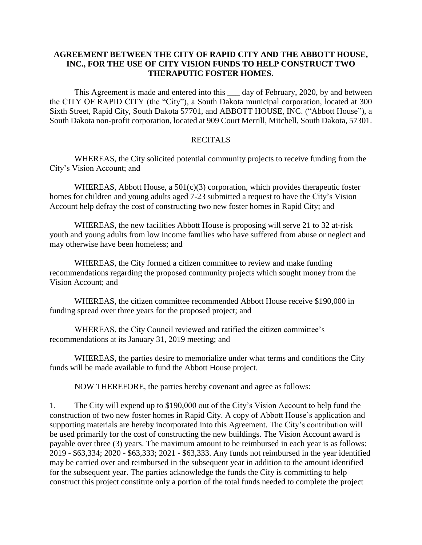## **AGREEMENT BETWEEN THE CITY OF RAPID CITY AND THE ABBOTT HOUSE, INC., FOR THE USE OF CITY VISION FUNDS TO HELP CONSTRUCT TWO THERAPUTIC FOSTER HOMES.**

This Agreement is made and entered into this \_\_\_ day of February, 2020, by and between the CITY OF RAPID CITY (the "City"), a South Dakota municipal corporation, located at 300 Sixth Street, Rapid City, South Dakota 57701, and ABBOTT HOUSE, INC. ("Abbott House"), a South Dakota non-profit corporation, located at 909 Court Merrill, Mitchell, South Dakota, 57301.

## RECITALS

WHEREAS, the City solicited potential community projects to receive funding from the City's Vision Account; and

WHEREAS, Abbott House, a 501(c)(3) corporation, which provides therapeutic foster homes for children and young adults aged 7-23 submitted a request to have the City's Vision Account help defray the cost of constructing two new foster homes in Rapid City; and

WHEREAS, the new facilities Abbott House is proposing will serve 21 to 32 at-risk youth and young adults from low income families who have suffered from abuse or neglect and may otherwise have been homeless; and

WHEREAS, the City formed a citizen committee to review and make funding recommendations regarding the proposed community projects which sought money from the Vision Account; and

WHEREAS, the citizen committee recommended Abbott House receive \$190,000 in funding spread over three years for the proposed project; and

WHEREAS, the City Council reviewed and ratified the citizen committee's recommendations at its January 31, 2019 meeting; and

WHEREAS, the parties desire to memorialize under what terms and conditions the City funds will be made available to fund the Abbott House project.

NOW THEREFORE, the parties hereby covenant and agree as follows:

1. The City will expend up to \$190,000 out of the City's Vision Account to help fund the construction of two new foster homes in Rapid City. A copy of Abbott House's application and supporting materials are hereby incorporated into this Agreement. The City's contribution will be used primarily for the cost of constructing the new buildings. The Vision Account award is payable over three (3) years. The maximum amount to be reimbursed in each year is as follows: 2019 - \$63,334; 2020 - \$63,333; 2021 - \$63,333. Any funds not reimbursed in the year identified may be carried over and reimbursed in the subsequent year in addition to the amount identified for the subsequent year. The parties acknowledge the funds the City is committing to help construct this project constitute only a portion of the total funds needed to complete the project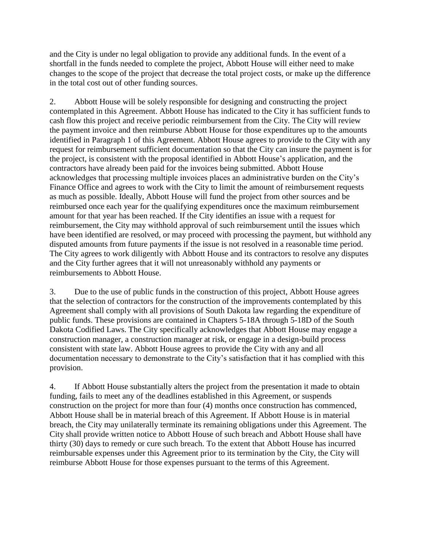and the City is under no legal obligation to provide any additional funds. In the event of a shortfall in the funds needed to complete the project, Abbott House will either need to make changes to the scope of the project that decrease the total project costs, or make up the difference in the total cost out of other funding sources.

2. Abbott House will be solely responsible for designing and constructing the project contemplated in this Agreement. Abbott House has indicated to the City it has sufficient funds to cash flow this project and receive periodic reimbursement from the City. The City will review the payment invoice and then reimburse Abbott House for those expenditures up to the amounts identified in Paragraph 1 of this Agreement. Abbott House agrees to provide to the City with any request for reimbursement sufficient documentation so that the City can insure the payment is for the project, is consistent with the proposal identified in Abbott House's application, and the contractors have already been paid for the invoices being submitted. Abbott House acknowledges that processing multiple invoices places an administrative burden on the City's Finance Office and agrees to work with the City to limit the amount of reimbursement requests as much as possible. Ideally, Abbott House will fund the project from other sources and be reimbursed once each year for the qualifying expenditures once the maximum reimbursement amount for that year has been reached. If the City identifies an issue with a request for reimbursement, the City may withhold approval of such reimbursement until the issues which have been identified are resolved, or may proceed with processing the payment, but withhold any disputed amounts from future payments if the issue is not resolved in a reasonable time period. The City agrees to work diligently with Abbott House and its contractors to resolve any disputes and the City further agrees that it will not unreasonably withhold any payments or reimbursements to Abbott House.

3. Due to the use of public funds in the construction of this project, Abbott House agrees that the selection of contractors for the construction of the improvements contemplated by this Agreement shall comply with all provisions of South Dakota law regarding the expenditure of public funds. These provisions are contained in Chapters 5-18A through 5-18D of the South Dakota Codified Laws. The City specifically acknowledges that Abbott House may engage a construction manager, a construction manager at risk, or engage in a design-build process consistent with state law. Abbott House agrees to provide the City with any and all documentation necessary to demonstrate to the City's satisfaction that it has complied with this provision.

4. If Abbott House substantially alters the project from the presentation it made to obtain funding, fails to meet any of the deadlines established in this Agreement, or suspends construction on the project for more than four (4) months once construction has commenced, Abbott House shall be in material breach of this Agreement. If Abbott House is in material breach, the City may unilaterally terminate its remaining obligations under this Agreement. The City shall provide written notice to Abbott House of such breach and Abbott House shall have thirty (30) days to remedy or cure such breach. To the extent that Abbott House has incurred reimbursable expenses under this Agreement prior to its termination by the City, the City will reimburse Abbott House for those expenses pursuant to the terms of this Agreement.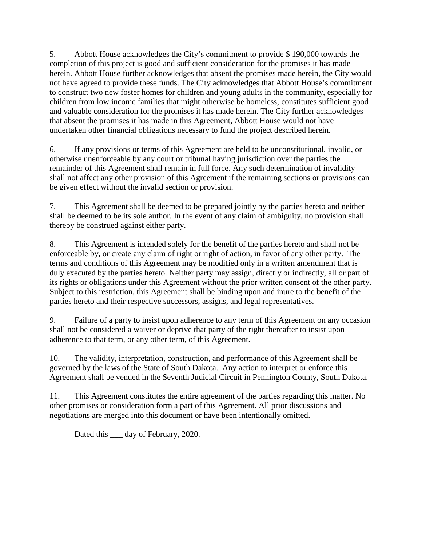5. Abbott House acknowledges the City's commitment to provide \$ 190,000 towards the completion of this project is good and sufficient consideration for the promises it has made herein. Abbott House further acknowledges that absent the promises made herein, the City would not have agreed to provide these funds. The City acknowledges that Abbott House's commitment to construct two new foster homes for children and young adults in the community, especially for children from low income families that might otherwise be homeless, constitutes sufficient good and valuable consideration for the promises it has made herein. The City further acknowledges that absent the promises it has made in this Agreement, Abbott House would not have undertaken other financial obligations necessary to fund the project described herein.

6. If any provisions or terms of this Agreement are held to be unconstitutional, invalid, or otherwise unenforceable by any court or tribunal having jurisdiction over the parties the remainder of this Agreement shall remain in full force. Any such determination of invalidity shall not affect any other provision of this Agreement if the remaining sections or provisions can be given effect without the invalid section or provision.

7. This Agreement shall be deemed to be prepared jointly by the parties hereto and neither shall be deemed to be its sole author. In the event of any claim of ambiguity, no provision shall thereby be construed against either party.

8. This Agreement is intended solely for the benefit of the parties hereto and shall not be enforceable by, or create any claim of right or right of action, in favor of any other party. The terms and conditions of this Agreement may be modified only in a written amendment that is duly executed by the parties hereto. Neither party may assign, directly or indirectly, all or part of its rights or obligations under this Agreement without the prior written consent of the other party. Subject to this restriction, this Agreement shall be binding upon and inure to the benefit of the parties hereto and their respective successors, assigns, and legal representatives.

9. Failure of a party to insist upon adherence to any term of this Agreement on any occasion shall not be considered a waiver or deprive that party of the right thereafter to insist upon adherence to that term, or any other term, of this Agreement.

10. The validity, interpretation, construction, and performance of this Agreement shall be governed by the laws of the State of South Dakota. Any action to interpret or enforce this Agreement shall be venued in the Seventh Judicial Circuit in Pennington County, South Dakota.

11. This Agreement constitutes the entire agreement of the parties regarding this matter. No other promises or consideration form a part of this Agreement. All prior discussions and negotiations are merged into this document or have been intentionally omitted.

Dated this <u>equal</u> day of February, 2020.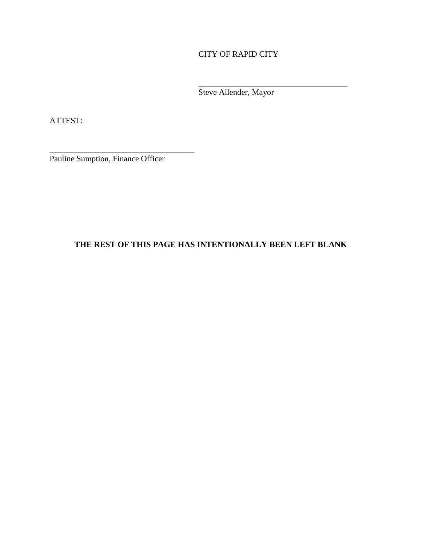CITY OF RAPID CITY

Steve Allender, Mayor

\_\_\_\_\_\_\_\_\_\_\_\_\_\_\_\_\_\_\_\_\_\_\_\_\_\_\_\_\_\_\_\_\_\_\_\_

ATTEST:

Pauline Sumption, Finance Officer

\_\_\_\_\_\_\_\_\_\_\_\_\_\_\_\_\_\_\_\_\_\_\_\_\_\_\_\_\_\_\_\_\_\_\_

## **THE REST OF THIS PAGE HAS INTENTIONALLY BEEN LEFT BLANK**